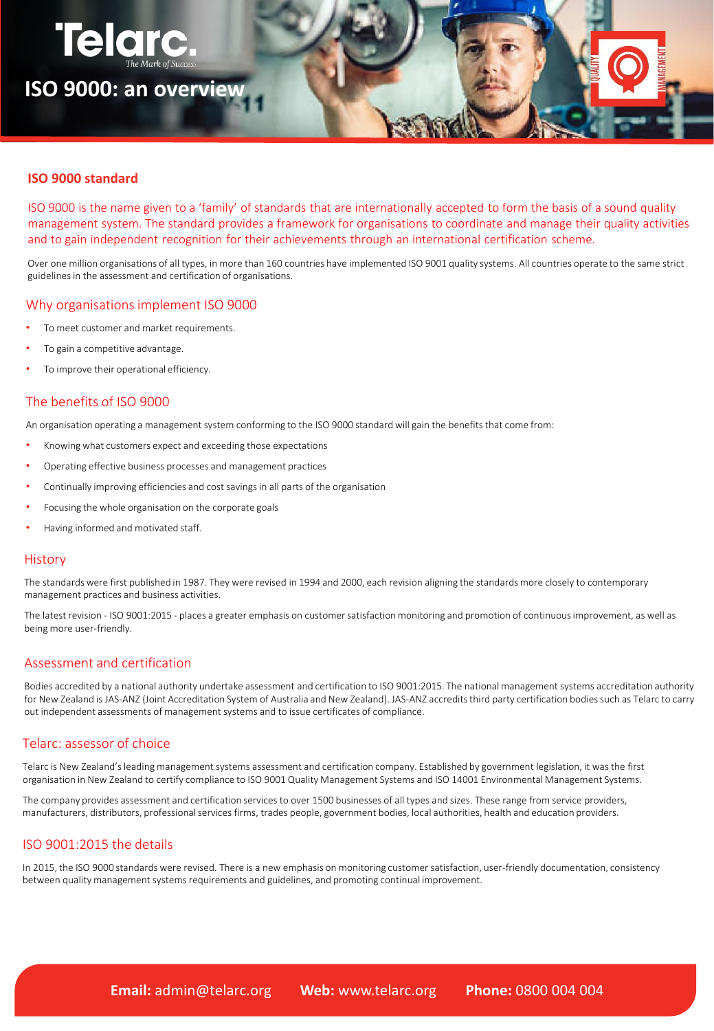

# **ISO 9000 standard**

ISO 9000 is the name given to a 'family' of standards that are internationally accepted to form the basis of a sound quality management system. The standard provides a framework for organisations to coordinate and manage their quality activities and to gain independent recognition for their achievements through an international certification scheme.

Over one million organisations of all types, in more than 160 countries have implemented ISO 9001 quality systems. All countries operate to the same strict guidelines in the assessment and certification of organisations.

## Why organisations implement ISO 9000

- To meet customer and market requirements.
- To gain a competitive advantage.
- To improve their operational efficiency.

# The benefits of ISO 9000

An organisation operating a management system conforming to the ISO 9000 standard will gain the benefits that come from:

- Knowing what customers expect and exceeding those expectations
- Operating effective business processes and management practices
- Continually improving efficiencies and cost savings in all parts of the organisation
- Focusing the whole organisation on the corporate goals
- Having informed and motivated staff.

### **History**

The standards were first published in 1987. They were revised in 1994 and 2000, each revision aligning the standards more closely to contemporary management practices and business activities.

The latest revision - ISO 9001:2015 - places a greater emphasis on customer satisfaction monitoring and promotion of continuous improvement, as well as being more user-friendly.

# Assessment and certification

Bodies accredited by a national authority undertake assessment and certification to ISO 9001:2015. The national management systems accreditation authority for New Zealand is JAS-ANZ (Joint Accreditation System of Australia and New Zealand). JAS-ANZ accredits third party certification bodies such as Telarc to carry out independent assessments of management systems and to issue certificates of compliance.

## Telarc: assessor of choice

Telarc is New Zealand's leading management systems assessment and certification company. Established by government legislation, it was the first organisation in New Zealand to certify compliance to ISO 9001 Quality Management Systems and ISO 14001 Environmental Management Systems.

The company provides assessment and certification services to over 1500 businesses of all types and sizes. These range from service providers, manufacturers, distributors, professional services firms, trades people, government bodies, local authorities, health and education providers.

### ISO 9001:2015 the details

In 2015, the ISO 9000 standards were revised. There is a new emphasis on monitoring customer satisfaction, user-friendly documentation, consistency between quality management systems requirements and guidelines, and promoting continual improvement.